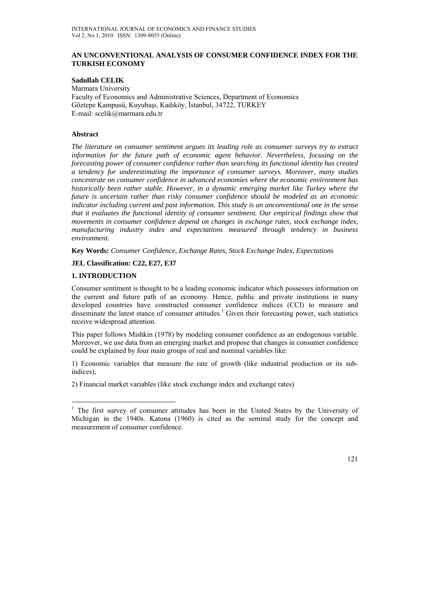## **AN UNCONVENTIONAL ANALYSIS OF CONSUMER CONFIDENCE INDEX FOR THE TURKISH ECONOMY**

**Sadullah CELIK**  Marmara University Faculty of Economics and Administrative Sciences, Department of Economics Göztepe Kampusü, Kuyubaşı, Kadıköy, İstanbul, 34722, TURKEY E-mail: scelik@marmara.edu.tr

## **Abstract**

*The literature on consumer sentiment argues its leading role as consumer surveys try to extract information for the future path of economic agent behavior. Nevertheless, focusing on the forecasting power of consumer confidence rather than searching its functional identity has created a tendency for underestimating the importance of consumer surveys. Moreover, many studies concentrate on consumer confidence in advanced economies where the economic environment has historically been rather stable. However, in a dynamic emerging market like Turkey where the future is uncertain rather than risky consumer confidence should be modeled as an economic indicator including current and past information. This study is an unconventional one in the sense that it evaluates the functional identity of consumer sentiment. Our empirical findings show that movements in consumer confidence depend on changes in exchange rates, stock exchange index, manufacturing industry index and expectations measured through tendency in business environment.* 

**Key Words:** *Consumer Confidence, Exchange Rates, Stock Exchange Index, Expectations*

#### **JEL Classification: C22, E27, E37**

#### **1. INTRODUCTION**

 $\overline{a}$ 

Consumer sentiment is thought to be a leading economic indicator which possesses information on the current and future path of an economy. Hence, public and private institutions in many developed countries have constructed consumer confidence indices (CCI) to measure and disseminate the latest stance of consumer attitudes.<sup>1</sup> Given their forecasting power, such statistics receive widespread attention.

This paper follows Mishkin (1978) by modeling consumer confidence as an endogenous variable. Moreover, we use data from an emerging market and propose that changes in consumer confidence could be explained by four main groups of real and nominal variables like:

1) Economic variables that measure the rate of growth (like industrial production or its subindices),

2) Financial market variables (like stock exchange index and exchange rates)

<sup>&</sup>lt;sup>1</sup> The first survey of consumer attitudes has been in the United States by the University of Michigan in the 1940s. Katona (1960) is cited as the seminal study for the concept and measurement of consumer confidence.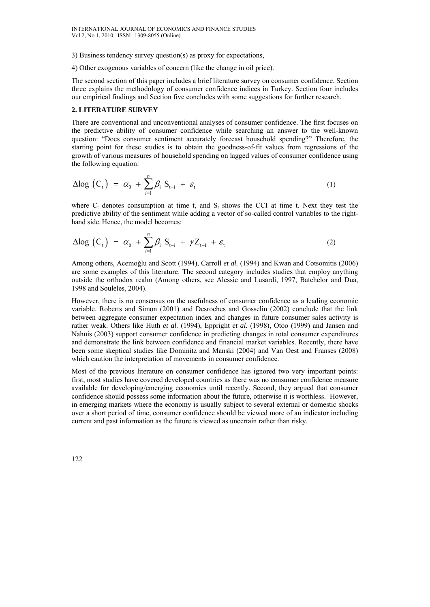3) Business tendency survey question(s) as proxy for expectations,

4) Other exogenous variables of concern (like the change in oil price).

The second section of this paper includes a brief literature survey on consumer confidence. Section three explains the methodology of consumer confidence indices in Turkey. Section four includes our empirical findings and Section five concludes with some suggestions for further research.

#### **2. LITERATURE SURVEY**

There are conventional and unconventional analyses of consumer confidence. The first focuses on the predictive ability of consumer confidence while searching an answer to the well-known question: "Does consumer sentiment accurately forecast household spending?" Therefore, the starting point for these studies is to obtain the goodness-of-fit values from regressions of the growth of various measures of household spending on lagged values of consumer confidence using the following equation:

$$
\Delta \log \left( C_t \right) = \alpha_0 + \sum_{i=1}^n \beta_i S_{t-i} + \varepsilon_t \tag{1}
$$

where  $C_t$  denotes consumption at time t, and  $S_t$  shows the CCI at time t. Next they test the predictive ability of the sentiment while adding a vector of so-called control variables to the righthand side. Hence, the model becomes:

$$
\Delta \log \left( C_t \right) = \alpha_0 + \sum_{i=1}^n \beta_i S_{t-i} + \gamma Z_{t-1} + \varepsilon_t \tag{2}
$$

Among others, Acemoğlu and Scott (1994), Carroll *et al.* (1994) and Kwan and Cotsomitis (2006) are some examples of this literature. The second category includes studies that employ anything outside the orthodox realm (Among others, see Alessie and Lusardi, 1997, Batchelor and Dua, 1998 and Souleles, 2004).

However, there is no consensus on the usefulness of consumer confidence as a leading economic variable. Roberts and Simon (2001) and Desroches and Gosselin (2002) conclude that the link between aggregate consumer expectation index and changes in future consumer sales activity is rather weak. Others like Huth *et al.* (1994), Eppright *et al.* (1998), Otoo (1999) and Jansen and Nahuis (2003) support consumer confidence in predicting changes in total consumer expenditures and demonstrate the link between confidence and financial market variables. Recently, there have been some skeptical studies like Dominitz and Manski (2004) and Van Oest and Franses (2008) which caution the interpretation of movements in consumer confidence.

Most of the previous literature on consumer confidence has ignored two very important points: first, most studies have covered developed countries as there was no consumer confidence measure available for developing/emerging economies until recently. Second, they argued that consumer confidence should possess some information about the future, otherwise it is worthless. However, in emerging markets where the economy is usually subject to several external or domestic shocks over a short period of time, consumer confidence should be viewed more of an indicator including current and past information as the future is viewed as uncertain rather than risky.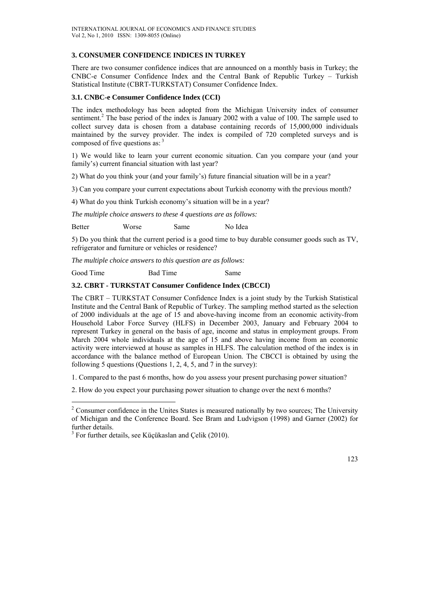# **3. CONSUMER CONFIDENCE INDICES IN TURKEY**

There are two consumer confidence indices that are announced on a monthly basis in Turkey; the CNBC-e Consumer Confidence Index and the Central Bank of Republic Turkey – Turkish Statistical Institute (CBRT-TURKSTAT) Consumer Confidence Index.

#### **3.1. CNBC-e Consumer Confidence Index (CCI)**

The index methodology has been adopted from the Michigan University index of consumer sentiment.<sup>2</sup> The base period of the index is January 2002 with a value of 100. The sample used to collect survey data is chosen from a database containing records of 15,000,000 individuals maintained by the survey provider. The index is compiled of 720 completed surveys and is composed of five questions as: <sup>3</sup>

1) We would like to learn your current economic situation. Can you compare your (and your family's) current financial situation with last year?

2) What do you think your (and your family's) future financial situation will be in a year?

3) Can you compare your current expectations about Turkish economy with the previous month?

4) What do you think Turkish economy's situation will be in a year?

*The multiple choice answers to these 4 questions are as follows:* 

Better Worse Same No Idea

5) Do you think that the current period is a good time to buy durable consumer goods such as TV, refrigerator and furniture or vehicles or residence?

*The multiple choice answers to this question are as follows:* 

Good Time Bad Time Same

### **3.2. CBRT - TURKSTAT Consumer Confidence Index (CBCCI)**

The CBRT – TURKSTAT Consumer Confidence Index is a joint study by the Turkish Statistical Institute and the Central Bank of Republic of Turkey. The sampling method started as the selection of 2000 individuals at the age of 15 and above-having income from an economic activity-from Household Labor Force Survey (HLFS) in December 2003, January and February 2004 to represent Turkey in general on the basis of age, income and status in employment groups. From March 2004 whole individuals at the age of 15 and above having income from an economic activity were interviewed at house as samples in HLFS. The calculation method of the index is in accordance with the balance method of European Union. The CBCCI is obtained by using the following 5 questions (Questions 1, 2, 4, 5, and 7 in the survey):

1. Compared to the past 6 months, how do you assess your present purchasing power situation?

2. How do you expect your purchasing power situation to change over the next 6 months?

 $2^2$  Consumer confidence in the Unites States is measured nationally by two sources; The University of Michigan and the Conference Board. See Bram and Ludvigson (1998) and Garner (2002) for further details.

 $3$  For further details, see Küçükaslan and Çelik (2010).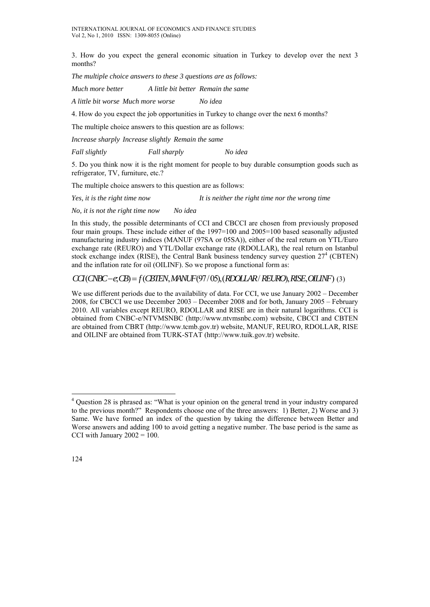3. How do you expect the general economic situation in Turkey to develop over the next 3 months?

*The multiple choice answers to these 3 questions are as follows:* 

*Much more better A little bit better Remain the same* 

*A little bit worse Much more worse No idea* 

4. How do you expect the job opportunities in Turkey to change over the next 6 months?

The multiple choice answers to this question are as follows:

*Increase sharply Increase slightly Remain the same* 

*Fall slightly Fall sharply No idea* 

5. Do you think now it is the right moment for people to buy durable consumption goods such as refrigerator, TV, furniture, etc.?

The multiple choice answers to this question are as follows:

*Yes, it is the right time now It is neither the right time nor the wrong time* 

*No, it is not the right time now No idea* 

In this study, the possible determinants of CCI and CBCCI are chosen from previously proposed four main groups. These include either of the 1997=100 and 2005=100 based seasonally adjusted manufacturing industry indices (MANUF (97SA or 05SA)), either of the real return on YTL/Euro exchange rate (REURO) and YTL/Dollar exchange rate (RDOLLAR), the real return on Istanbul stock exchange index (RISE), the Central Bank business tendency survey question  $27<sup>4</sup>$  (CBTEN) and the inflation rate for oil (OILINF). So we propose a functional form as:

# $CCI(CNBC - e, CB) = f(CBTEM, MANUF(97/05), (RDOLAR/REURO), RISE, OILINF)$  (3)

We use different periods due to the availability of data. For CCI, we use January 2002 – December 2008, for CBCCI we use December 2003 – December 2008 and for both, January 2005 – February 2010. All variables except REURO, RDOLLAR and RISE are in their natural logarithms. CCI is obtained from CNBC-e/NTVMSNBC (http://www.ntvmsnbc.com) website, CBCCI and CBTEN are obtained from CBRT (http://www.tcmb.gov.tr) website, MANUF, REURO, RDOLLAR, RISE and OILINF are obtained from TURK-STAT (http://www.tuik.gov.tr) website.

 $\overline{a}$ 

<sup>&</sup>lt;sup>4</sup> Question 28 is phrased as: "What is your opinion on the general trend in your industry compared to the previous month?" Respondents choose one of the three answers: 1) Better, 2) Worse and 3) Same. We have formed an index of the question by taking the difference between Better and Worse answers and adding 100 to avoid getting a negative number. The base period is the same as CCI with January  $2002 = 100$ .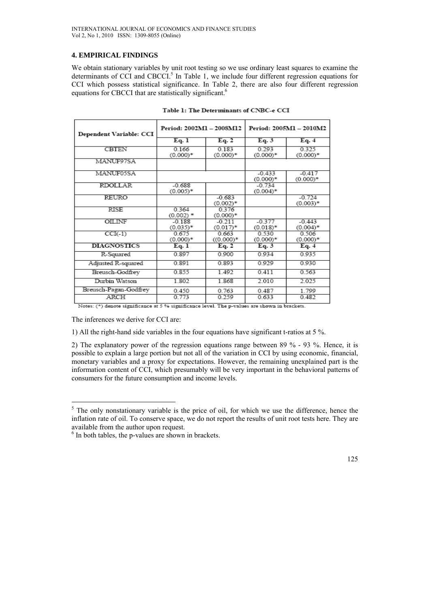# **4. EMPIRICAL FINDINGS**

We obtain stationary variables by unit root testing so we use ordinary least squares to examine the determinants of CCI and CBCCI.<sup>5</sup> In Table 1, we include four different regression equations for CCI which possess statistical significance. In Table 2, there are also four different regression equations for CBCCI that are statistically significant.<sup>6</sup>

| Dependent Variable: CCI | Period: 2002M1 - 2008M12 |                         | Period: 2005M1 - 2010M2 |                        |
|-------------------------|--------------------------|-------------------------|-------------------------|------------------------|
|                         | Eq. 1                    | Eq. 2                   | Eq. 3                   | Eq. 4                  |
| <b>CBTEN</b>            | 0.166<br>$(0.000)*$      | 0.183<br>$(0.000)*$     | 0.293<br>$(0.000)*$     | 0.325<br>$(0.000)*$    |
| MANUF97SA               |                          |                         |                         |                        |
| MANUF05SA               |                          |                         | $-0.433$<br>$(0.000)*$  | $-0.417$<br>$(0.000)*$ |
| <b>RDOLLAR</b>          | $-0.688$<br>$(0.005)*$   |                         | $-0.734$<br>$(0.004)^*$ |                        |
| <b>REURO</b>            |                          | $-0.683$<br>$(0.002)^*$ |                         | $-0.724$<br>$(0.003)*$ |
| <b>RISE</b>             | 0 3 6 4<br>$(0.002)$ *   | 0.376<br>$(0.000)*$     |                         |                        |
| OILINF                  | $-0.188$<br>$(0.035)*$   | $-0.211$<br>$(0.017)^*$ | $-0.377$<br>$(0.018)$ * | $-0.443$<br>$(0.004)*$ |
| $CCI(-1)$               | 0.675<br>$(0.000)*$      | 0.663<br>$((0.000)*$    | 0.530<br>$(0.000)*$     | 0.506<br>$(0.000)*$    |
| <b>DIAGNOSTICS</b>      | Eq. 1                    | Eq. 2                   | Eq. 3                   | Eq. 4                  |
| R-Squared               | 0.897                    | 0 900                   | 0934                    | 0935                   |
| Adjusted R-squared      | 0.891                    | 0.893                   | 0929                    | 0930                   |
| Breusch-Godfrey         | 0.855                    | 1.492                   | 0.411                   | 0.563                  |
| Durbin Watson           | 1.802                    | 1.868                   | 2.010                   | 2.025                  |
| Breusch-Pagan-Godfrey   | 0.450                    | 0.763                   | 0.487                   | 1.799                  |
| ARCH                    | 0.773                    | 0.259                   | 0.633                   | 0.482                  |

Table 1: The Determinants of CNBC-e CCI

Notes: (\*) denote significance at 5 % significance level. The p-values are shown in brackets.

The inferences we derive for CCI are:

1) All the right-hand side variables in the four equations have significant t-ratios at 5 %.

2) The explanatory power of the regression equations range between 89 % - 93 %. Hence, it is possible to explain a large portion but not all of the variation in CCI by using economic, financial, monetary variables and a proxy for expectations. However, the remaining unexplained part is the information content of CCI, which presumably will be very important in the behavioral patterns of consumers for the future consumption and income levels.

 $<sup>5</sup>$  The only nonstationary variable is the price of oil, for which we use the difference, hence the</sup> inflation rate of oil. To conserve space, we do not report the results of unit root tests here. They are available from the author upon request. 6

 $<sup>6</sup>$  In both tables, the p-values are shown in brackets.</sup>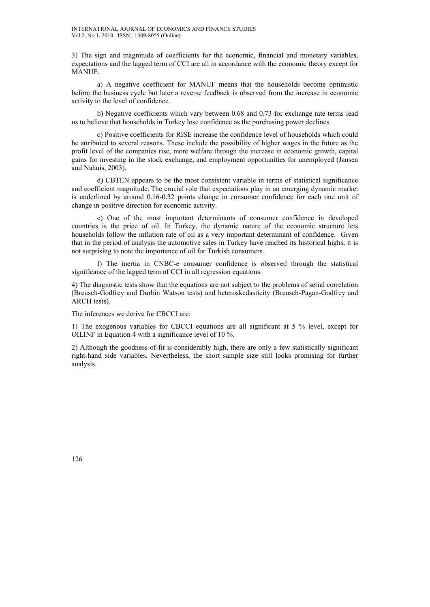3) The sign and magnitude of coefficients for the economic, financial and monetary variables, expectations and the lagged term of CCI are all in accordance with the economic theory except for **MANUF** 

a) A negative coefficient for MANUF means that the households become optimistic before the business cycle but later a reverse feedback is observed from the increase in economic activity to the level of confidence.

b) Negative coefficients which vary between 0.68 and 0.73 for exchange rate terms lead us to believe that households in Turkey lose confidence as the purchasing power declines.

c) Positive coefficients for RISE increase the confidence level of households which could be attributed to several reasons. These include the possibility of higher wages in the future as the profit level of the companies rise, more welfare through the increase in economic growth, capital gains for investing in the stock exchange, and employment opportunities for unemployed (Jansen and Nahuis, 2003).

d) CBTEN appears to be the most consistent variable in terms of statistical significance and coefficient magnitude. The crucial role that expectations play in an emerging dynamic market is underlined by around 0.16-0.32 points change in consumer confidence for each one unit of change in positive direction for economic activity.

e) One of the most important determinants of consumer confidence in developed countries is the price of oil. In Turkey, the dynamic nature of the economic structure lets households follow the inflation rate of oil as a very important determinant of confidence. Given that in the period of analysis the automotive sales in Turkey have reached its historical highs, it is not surprising to note the importance of oil for Turkish consumers.

f) The inertia in CNBC-e consumer confidence is observed through the statistical significance of the lagged term of CCI in all regression equations.

4) The diagnostic tests show that the equations are not subject to the problems of serial correlation (Breusch-Godfrey and Durbin Watson tests) and heteroskedasticity (Breusch-Pagan-Godfrey and ARCH tests).

The inferences we derive for CBCCI are:

1) The exogenous variables for CBCCI equations are all significant at 5 % level, except for OILINF in Equation 4 with a significance level of 10 %.

2) Although the goodness-of-fit is considerably high, there are only a few statistically significant right-hand side variables. Nevertheless, the short sample size still looks promising for further analysis.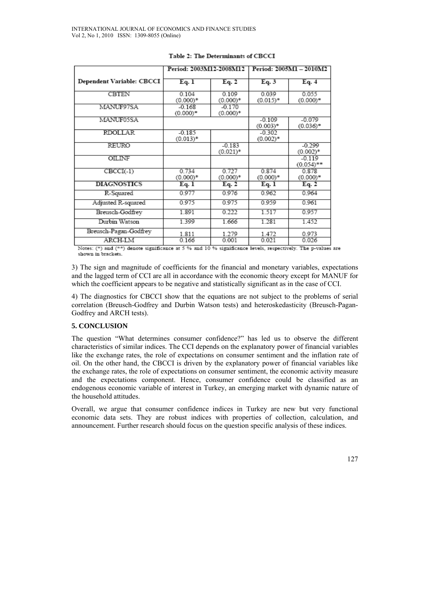|                           | Period: 2003M12-2008M12 |                         | Period: 2005M1 - 2010M2 |                          |
|---------------------------|-------------------------|-------------------------|-------------------------|--------------------------|
| Dependent Variable: CBCCI | Eq. 1                   | Eq. 2                   | Eq. 3                   | Eq. 4                    |
| CBTEN                     | 0.104<br>$(0.000)*$     | 0.109<br>$(0.000)*$     | 0.039<br>$(0.015)*$     | 0.055<br>$(0.000)^*$     |
| MANUF97SA                 | $-0.168$<br>$(0.000)*$  | $-0.170$<br>$(0.000)*$  |                         |                          |
| MANUF05SA                 |                         |                         | $-0.109$<br>$(0.003)*$  | $-0.079$<br>$(0.036)^*$  |
| <b>RDOLLAR</b>            | $-0.185$<br>$(0.013)*$  |                         | $-0.302$<br>$(0.002)*$  |                          |
| REURO                     |                         | $-0.183$<br>$(0.021)$ * |                         | $-0.299$<br>$(0.002)^*$  |
| <b>OILINF</b>             |                         |                         |                         | $-0.119$<br>$(0.054)$ ** |
| $CBCI(-1)$                | 0.734<br>$(0.000)*$     | 0.727<br>$(0.000)*$     | 0.874<br>$(0.000)*$     | 0.878<br>$(0.000)*$      |
| <b>DIAGNOSTICS</b>        | Eq. 1                   | Eq. 2                   | Eq. 1                   | Eq. 2                    |
| R-Squared                 | 0.977                   | 0.976                   | 0.962                   | 0.964                    |
| Adjusted R-squared        | 0.975                   | 0.975                   | 0.959                   | 0.961                    |
| Breusch-Godfrey           | 1.891                   | 0.222                   | 1.517                   | 0.957                    |
| Durbin Watson             | 1.399                   | 1.666                   | 1.281                   | 1.452                    |
| Breusch-Pagan-Godfrey     | 1.811                   | 1.279                   | 1.472                   | 0.973                    |
| ARCH-LM                   | 0.166                   | 0.001                   | 0.021                   | 0.026                    |

#### Table 2: The Determinants of CBCCI

Notes: (\*) and (\*\*) denote significance at 5 % and 10 % significance levels, respectively. The p-values are shown in brackets.

3) The sign and magnitude of coefficients for the financial and monetary variables, expectations and the lagged term of CCI are all in accordance with the economic theory except for MANUF for which the coefficient appears to be negative and statistically significant as in the case of CCI.

4) The diagnostics for CBCCI show that the equations are not subject to the problems of serial correlation (Breusch-Godfrey and Durbin Watson tests) and heteroskedasticity (Breusch-Pagan-Godfrey and ARCH tests).

# **5. CONCLUSION**

The question "What determines consumer confidence?" has led us to observe the different characteristics of similar indices. The CCI depends on the explanatory power of financial variables like the exchange rates, the role of expectations on consumer sentiment and the inflation rate of oil. On the other hand, the CBCCI is driven by the explanatory power of financial variables like the exchange rates, the role of expectations on consumer sentiment, the economic activity measure and the expectations component. Hence, consumer confidence could be classified as an endogenous economic variable of interest in Turkey, an emerging market with dynamic nature of the household attitudes.

Overall, we argue that consumer confidence indices in Turkey are new but very functional economic data sets. They are robust indices with properties of collection, calculation, and announcement. Further research should focus on the question specific analysis of these indices.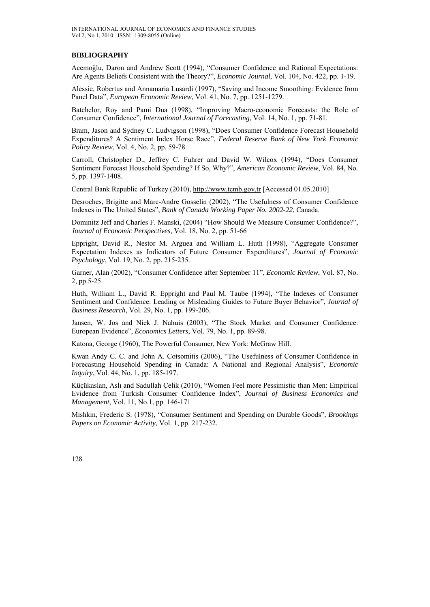#### **BIBLIOGRAPHY**

Acemoğlu, Daron and Andrew Scott (1994), "Consumer Confidence and Rational Expectations: Are Agents Beliefs Consistent with the Theory?", *Economic Journal*, Vol. 104, No. 422, pp. 1-19.

Alessie, Robertus and Annamaria Lusardi (1997), "Saving and Income Smoothing: Evidence from Panel Data", *European Economic Review*, Vol. 41, No. 7, pp. 1251-1279.

Batchelor, Roy and Pami Dua (1998), "Improving Macro-economic Forecasts: the Role of Consumer Confidence", *International Journal of Forecasting*, Vol. 14, No. 1, pp. 71-81.

Bram, Jason and Sydney C. Ludvigson (1998), "Does Consumer Confidence Forecast Household Expenditures? A Sentiment Index Horse Race", *Federal Reserve Bank of New York Economic Policy Review*, Vol. 4, No. 2, pp. 59-78.

Carroll, Christopher D., Jeffrey C. Fuhrer and David W. Wilcox (1994), "Does Consumer Sentiment Forecast Household Spending? If So, Why?", *American Economic Review*, Vol. 84, No. 5, pp. 1397-1408.

Central Bank Republic of Turkey (2010), http://www.tcmb.gov.tr [Accessed 01.05.2010]

Desroches, Brigitte and Marc-Andre Gosselin (2002), "The Usefulness of Consumer Confidence Indexes in The United States", *Bank of Canada Working Paper No. 2002-22*, Canada.

Dominitz Jeff and Charles F. Manski, (2004) "How Should We Measure Consumer Confidence?", *Journal of Economic Perspectives*, Vol. 18, No. 2, pp. 51-66

Eppright, David R., Nestor M. Arguea and William L. Huth (1998), "Aggregate Consumer Expectation Indexes as Indicators of Future Consumer Expenditures", *Journal of Economic Psychology*, Vol. 19, No. 2, pp. 215-235.

Garner, Alan (2002), "Consumer Confidence after September 11", *Economic Review*, Vol. 87, No. 2, pp.5-25.

Huth, William L., David R. Eppright and Paul M. Taube (1994), "The Indexes of Consumer Sentiment and Confidence: Leading or Misleading Guides to Future Buyer Behavior", *Journal of Business Research*, Vol. 29, No. 1, pp. 199-206.

Jansen, W. Jos and Niek J. Nahuis (2003), "The Stock Market and Consumer Confidence: European Evidence", *Economics Letters*, Vol. 79, No. 1, pp. 89-98.

Katona, George (1960), The Powerful Consumer, New York: McGraw Hill.

Kwan Andy C. C. and John A. Cotsomitis (2006), "The Usefulness of Consumer Confidence in Forecasting Household Spending in Canada: A National and Regional Analysis", *Economic Inquiry*, Vol. 44, No. 1, pp. 185-197.

Küçükaslan, Aslı and Sadullah Çelik (2010), "Women Feel more Pessimistic than Men: Empirical Evidence from Turkish Consumer Confidence Index", *Journal of Business Economics and Management*, Vol. 11, No.1, pp. 146-171

Mishkin, Frederic S. (1978), "Consumer Sentiment and Spending on Durable Goods", *Brookings Papers on Economic Activity*, Vol. 1, pp. 217-232.